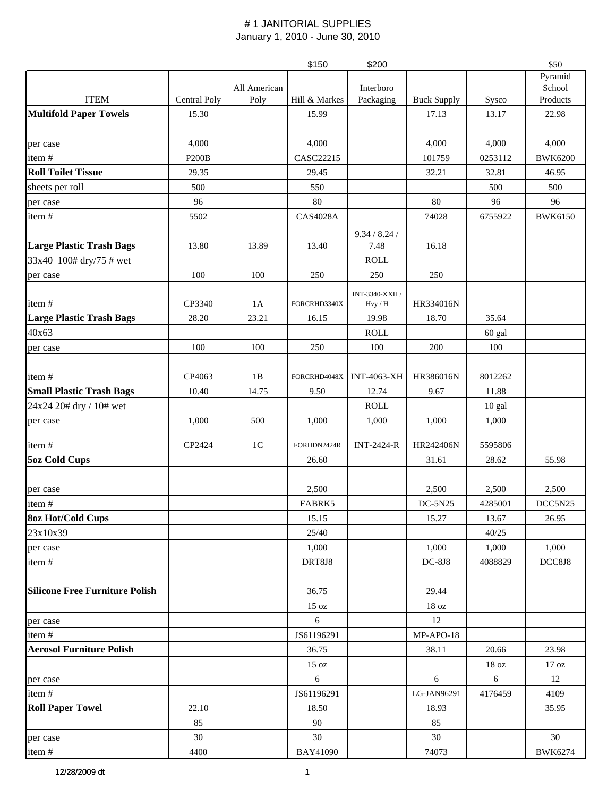|                                       |              |                | \$150           | \$200              |                    |                  | \$50             |
|---------------------------------------|--------------|----------------|-----------------|--------------------|--------------------|------------------|------------------|
|                                       |              |                |                 |                    |                    |                  | Pyramid          |
|                                       |              | All American   |                 | Interboro          |                    |                  | School           |
| <b>ITEM</b>                           | Central Poly | Poly           | Hill & Markes   | Packaging          | <b>Buck Supply</b> | Sysco            | Products         |
| <b>Multifold Paper Towels</b>         | 15.30        |                | 15.99           |                    | 17.13              | 13.17            | 22.98            |
|                                       |              |                |                 |                    |                    |                  |                  |
| per case                              | 4,000        |                | 4,000           |                    | 4,000              | 4,000            | 4,000            |
| item#                                 | <b>P200B</b> |                | CASC22215       |                    | 101759             | 0253112          | <b>BWK6200</b>   |
| <b>Roll Toilet Tissue</b>             | 29.35        |                | 29.45           |                    | 32.21              | 32.81            | 46.95            |
| sheets per roll                       | 500          |                | 550             |                    |                    | 500              | 500              |
| per case                              | 96           |                | 80              |                    | 80                 | 96               | 96               |
| item#                                 | 5502         |                | <b>CAS4028A</b> |                    | 74028              | 6755922          | <b>BWK6150</b>   |
|                                       |              |                |                 | 9.34 / 8.24 /      |                    |                  |                  |
| <b>Large Plastic Trash Bags</b>       | 13.80        | 13.89          | 13.40           | 7.48               | 16.18              |                  |                  |
| 33x40 100# dry/75 # wet               |              |                |                 | ROLL               |                    |                  |                  |
| per case                              | 100          | 100            | 250             | 250                | 250                |                  |                  |
|                                       |              |                |                 | INT-3340-XXH /     |                    |                  |                  |
| item#                                 | CP3340       | 1A             | FORCRHD3340X    | $Hvy$ / $H$        | HR334016N          |                  |                  |
| <b>Large Plastic Trash Bags</b>       | 28.20        | 23.21          | 16.15           | 19.98              | 18.70              | 35.64            |                  |
| 40x63                                 |              |                |                 | <b>ROLL</b>        |                    | 60 gal           |                  |
| per case                              | 100          | 100            | 250             | 100                | 200                | 100              |                  |
|                                       |              |                |                 |                    |                    |                  |                  |
| item#                                 | CP4063       | 1B             | FORCRHD4048X    | <b>INT-4063-XH</b> | HR386016N          | 8012262          |                  |
| <b>Small Plastic Trash Bags</b>       | 10.40        | 14.75          | 9.50            | 12.74              | 9.67               | 11.88            |                  |
| 24x24 20# dry / 10# wet               |              |                |                 | <b>ROLL</b>        |                    | $10$ gal         |                  |
| per case                              | 1,000        | 500            | 1,000           | 1,000              | 1,000              | 1,000            |                  |
|                                       |              |                |                 |                    |                    |                  |                  |
| item#                                 | CP2424       | 1 <sup>C</sup> | FORHDN2424R     | <b>INT-2424-R</b>  | HR242406N          | 5595806          |                  |
| <b>5oz Cold Cups</b>                  |              |                | 26.60           |                    | 31.61              | 28.62            | 55.98            |
|                                       |              |                |                 |                    |                    |                  |                  |
| per case                              |              |                | 2,500           |                    | 2,500              | 2,500            | 2,500            |
| item#                                 |              |                | FABRK5          |                    | DC-5N25            | 4285001          | DCC5N25          |
| <b>8oz Hot/Cold Cups</b>              |              |                | 15.15           |                    | 15.27              | 13.67            | 26.95            |
| 23x10x39                              |              |                | 25/40           |                    |                    | 40/25            |                  |
| per case                              |              |                | 1,000           |                    | 1,000              | 1,000            | 1,000            |
| item#                                 |              |                | DRT8J8          |                    | <b>DC-8J8</b>      | 4088829          | DCC8J8           |
|                                       |              |                |                 |                    |                    |                  |                  |
| <b>Silicone Free Furniture Polish</b> |              |                | 36.75           |                    | 29.44              |                  |                  |
|                                       |              |                | 15 oz           |                    | 18 oz              |                  |                  |
| per case                              |              |                | 6               |                    | 12                 |                  |                  |
| item#                                 |              |                | JS61196291      |                    | MP-APO-18          |                  |                  |
| <b>Aerosol Furniture Polish</b>       |              |                | 36.75           |                    | 38.11              | 20.66            | 23.98            |
|                                       |              |                | 15 oz           |                    |                    | 18 <sub>oz</sub> | 17 <sub>oz</sub> |
| per case                              |              |                | 6               |                    | 6                  | 6                | 12               |
| item#                                 |              |                | JS61196291      |                    | LG-JAN96291        | 4176459          | 4109             |
| <b>Roll Paper Towel</b>               | 22.10        |                | 18.50           |                    | 18.93              |                  | 35.95            |
|                                       | 85           |                | 90              |                    | 85                 |                  |                  |
| per case                              | 30           |                | 30              |                    | 30                 |                  | 30               |
| item#                                 | 4400         |                | BAY41090        |                    | 74073              |                  | <b>BWK6274</b>   |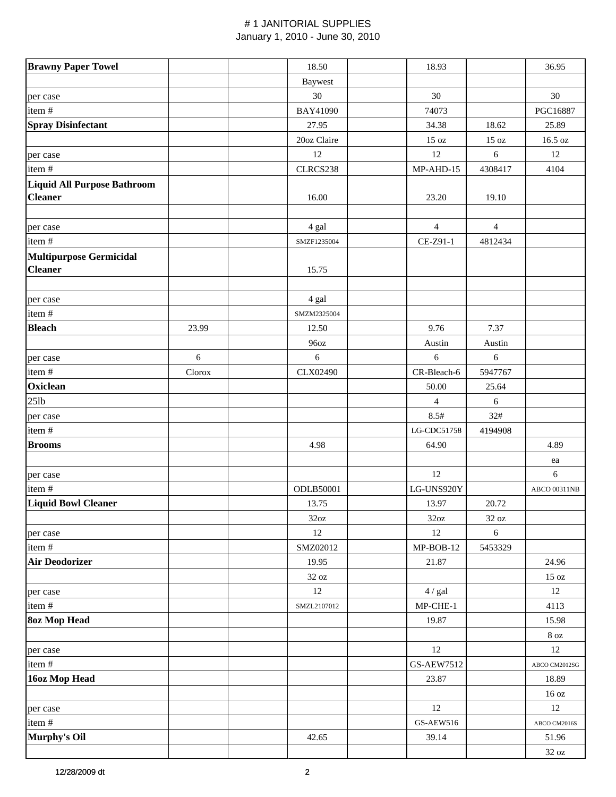| <b>Brawny Paper Towel</b>                            |            | 18.50           | 18.93             |                 | 36.95               |
|------------------------------------------------------|------------|-----------------|-------------------|-----------------|---------------------|
|                                                      |            | <b>Baywest</b>  |                   |                 |                     |
| per case                                             |            | 30              | $30\,$            |                 | 30                  |
| item#                                                |            | <b>BAY41090</b> | 74073             |                 | PGC16887            |
| <b>Spray Disinfectant</b>                            |            | 27.95           | 34.38             | 18.62           | 25.89               |
|                                                      |            | 20oz Claire     | $15\,\mathrm{oz}$ | $15 \text{ oz}$ | 16.5 oz             |
| per case                                             |            | 12              | 12                | 6               | 12                  |
| item#                                                |            | CLRCS238        | MP-AHD-15         | 4308417         | 4104                |
| <b>Liquid All Purpose Bathroom</b><br><b>Cleaner</b> |            | 16.00           | 23.20             | 19.10           |                     |
|                                                      |            |                 |                   |                 |                     |
| per case                                             |            | 4 gal           | 4                 | $\overline{4}$  |                     |
| item#                                                |            | SMZF1235004     | CE-Z91-1          | 4812434         |                     |
| <b>Multipurpose Germicidal</b>                       |            |                 |                   |                 |                     |
| <b>Cleaner</b>                                       |            | 15.75           |                   |                 |                     |
| per case                                             |            | 4 gal           |                   |                 |                     |
| item#                                                |            | SMZM2325004     |                   |                 |                     |
| <b>Bleach</b>                                        | 23.99      | 12.50           | 9.76              | 7.37            |                     |
|                                                      |            | 96oz            | Austin            | Austin          |                     |
| per case                                             | $\sqrt{6}$ | 6               | 6                 | $\sqrt{6}$      |                     |
| item#                                                | Clorox     | CLX02490        | CR-Bleach-6       | 5947767         |                     |
| Oxiclean                                             |            |                 | 50.00             | 25.64           |                     |
| $25$ lb                                              |            |                 | 4                 | 6               |                     |
| per case                                             |            |                 | 8.5#              | 32#             |                     |
| item#                                                |            |                 | LG-CDC51758       | 4194908         |                     |
| <b>Brooms</b>                                        |            | 4.98            | 64.90             |                 | 4.89                |
|                                                      |            |                 |                   |                 |                     |
|                                                      |            |                 | 12                |                 | ea                  |
| per case                                             |            | ODLB50001       | LG-UNS920Y        |                 | 6                   |
| item#                                                |            |                 |                   |                 | <b>ABCO 00311NB</b> |
| Liquid Bowl Cleaner                                  |            | 13.75           | 13.97             | 20.72           |                     |
|                                                      |            | 32oz            | 32oz              | 32 oz           |                     |
| per case                                             |            | 12              | 12                | $\sqrt{6}$      |                     |
| item#                                                |            | SMZ02012        | MP-BOB-12         | 5453329         |                     |
| <b>Air Deodorizer</b>                                |            | 19.95           | 21.87             |                 | 24.96               |
|                                                      |            | 32 oz           |                   |                 | 15 oz               |
| per case                                             |            | 12              | 4 / gal           |                 | 12                  |
| item#                                                |            | SMZL2107012     | MP-CHE-1          |                 | 4113                |
| <b>80z Mop Head</b>                                  |            |                 | 19.87             |                 | 15.98               |
|                                                      |            |                 |                   |                 | $8\ \mathrm{oz}$    |
| per case                                             |            |                 | 12                |                 | 12                  |
| item #                                               |            |                 | <b>GS-AEW7512</b> |                 | ABCO CM2012SG       |
| 16oz Mop Head                                        |            |                 | 23.87             |                 | 18.89               |
|                                                      |            |                 |                   |                 | 16 oz               |
| per case                                             |            |                 | 12                |                 | 12                  |
| item#                                                |            |                 | <b>GS-AEW516</b>  |                 | ABCO CM2016S        |
| Murphy's Oil                                         |            | 42.65           | 39.14             |                 | 51.96               |
|                                                      |            |                 |                   |                 | $32\ \mathrm{oz}$   |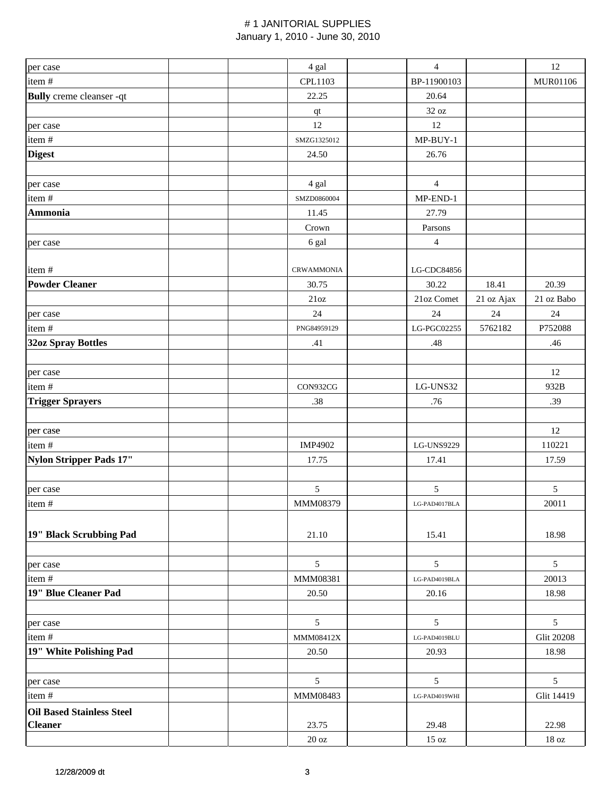|                                  |                   | $\overline{4}$ |            | 12                |
|----------------------------------|-------------------|----------------|------------|-------------------|
| per case                         | 4 gal             |                |            |                   |
| item#                            | CPL1103           | BP-11900103    |            | MUR01106          |
| <b>Bully</b> creme cleanser -qt  | 22.25             | 20.64          |            |                   |
|                                  | $\bf qt$          | 32 oz          |            |                   |
| per case                         | 12                | 12             |            |                   |
| item#                            | SMZG1325012       | $MP-BUY-1$     |            |                   |
| <b>Digest</b>                    | 24.50             | 26.76          |            |                   |
|                                  |                   |                |            |                   |
| per case                         | 4 gal             | $\overline{4}$ |            |                   |
| item#                            | SMZD0860004       | MP-END-1       |            |                   |
| <b>Ammonia</b>                   | 11.45             | 27.79          |            |                   |
|                                  | Crown             | Parsons        |            |                   |
| per case                         | 6 gal             | $\overline{4}$ |            |                   |
|                                  |                   |                |            |                   |
| item#                            | <b>CRWAMMONIA</b> | LG-CDC84856    |            |                   |
| <b>Powder Cleaner</b>            | 30.75             | 30.22          | 18.41      | 20.39             |
|                                  | 21oz              | 21oz Comet     | 21 oz Ajax | 21 oz Babo        |
| per case                         | 24                | 24             | 24         | 24                |
| item#                            | PNG84959129       | LG-PGC02255    | 5762182    | P752088           |
| <b>32oz Spray Bottles</b>        | .41               | .48            |            | .46               |
|                                  |                   |                |            |                   |
| per case                         |                   |                |            | 12                |
| item#                            | CON932CG          | LG-UNS32       |            | 932B              |
| <b>Trigger Sprayers</b>          | .38               | .76            |            | .39               |
|                                  |                   |                |            |                   |
| per case                         |                   |                |            | 12                |
| item#                            | IMP4902           | LG-UNS9229     |            | 110221            |
| Nylon Stripper Pads 17"          | 17.75             | 17.41          |            | 17.59             |
|                                  |                   |                |            |                   |
| per case                         | 5                 | 5              |            | $\mathfrak s$     |
| item#                            | MMM08379          | LG-PAD4017BLA  |            | 20011             |
|                                  |                   |                |            |                   |
| 19" Black Scrubbing Pad          | 21.10             | 15.41          |            | 18.98             |
|                                  |                   |                |            |                   |
|                                  | 5                 | 5              |            | 5                 |
| per case<br>item#                | MMM08381          | LG-PAD4019BLA  |            | 20013             |
| 19" Blue Cleaner Pad             | 20.50             | 20.16          |            | 18.98             |
|                                  |                   |                |            |                   |
|                                  | $\mathfrak{S}$    | 5              |            | 5                 |
| per case                         |                   |                |            | <b>Glit 20208</b> |
| item#                            | MMM08412X         | LG-PAD4019BLU  |            |                   |
| 19" White Polishing Pad          | 20.50             | 20.93          |            | 18.98             |
|                                  |                   |                |            |                   |
| per case                         | 5                 | 5              |            | $\mathfrak{S}$    |
| item#                            | MMM08483          | LG-PAD4019WHI  |            | Glit 14419        |
| <b>Oil Based Stainless Steel</b> |                   |                |            |                   |
| <b>Cleaner</b>                   | 23.75             | 29.48          |            | 22.98             |
|                                  | $20\ \mathrm{oz}$ | 15 oz          |            | $18\,\mathrm{oz}$ |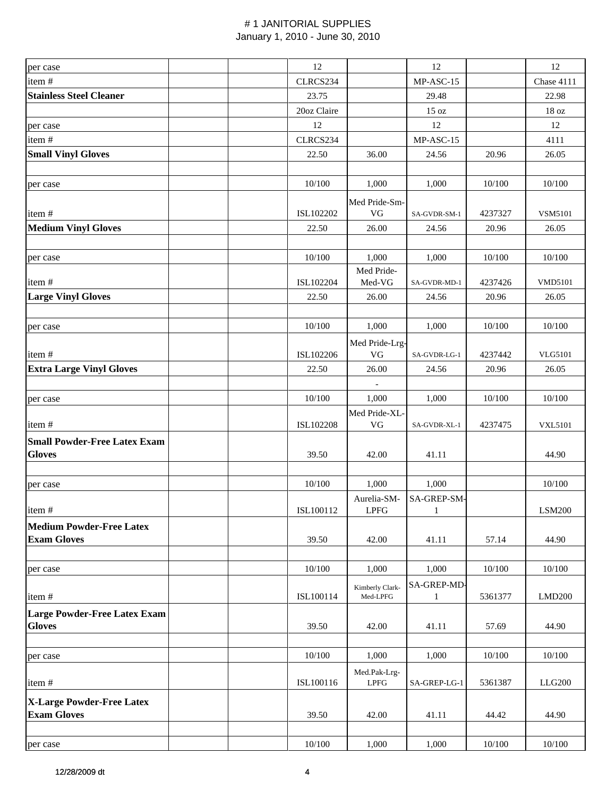| per case                            | 12          |                              | 12                          |         | 12               |
|-------------------------------------|-------------|------------------------------|-----------------------------|---------|------------------|
| item#                               | CLRCS234    |                              | MP-ASC-15                   |         | Chase 4111       |
| <b>Stainless Steel Cleaner</b>      | 23.75       |                              | 29.48                       |         | 22.98            |
|                                     | 20oz Claire |                              | 15 oz                       |         | 18 <sub>oz</sub> |
| per case                            | 12          |                              | 12                          |         | 12               |
| item#                               | CLRCS234    |                              | MP-ASC-15                   |         | 4111             |
| <b>Small Vinyl Gloves</b>           | 22.50       | 36.00                        | 24.56                       | 20.96   | 26.05            |
|                                     |             |                              |                             |         |                  |
| per case                            | 10/100      | 1,000                        | 1,000                       | 10/100  | 10/100           |
|                                     |             | Med Pride-Sm-                |                             |         |                  |
| item#                               | ISL102202   | VG                           | SA-GVDR-SM-1                | 4237327 | VSM5101          |
| <b>Medium Vinyl Gloves</b>          | 22.50       | 26.00                        | 24.56                       | 20.96   | 26.05            |
|                                     |             |                              |                             |         |                  |
| per case                            | 10/100      | 1,000                        | 1,000                       | 10/100  | 10/100           |
| item#                               | ISL102204   | Med Pride-<br>Med-VG         | SA-GVDR-MD-1                | 4237426 | <b>VMD5101</b>   |
| <b>Large Vinyl Gloves</b>           | 22.50       | 26.00                        | 24.56                       | 20.96   | 26.05            |
|                                     |             |                              |                             |         |                  |
| per case                            | 10/100      | 1,000                        | 1,000                       | 10/100  | 10/100           |
|                                     |             | Med Pride-Lrg-               |                             |         |                  |
| item#                               | ISL102206   | VG                           | SA-GVDR-LG-1                | 4237442 | <b>VLG5101</b>   |
| <b>Extra Large Vinyl Gloves</b>     | 22.50       | 26.00                        | 24.56                       | 20.96   | 26.05            |
|                                     |             | $\overline{\phantom{a}}$     |                             |         |                  |
| per case                            | 10/100      | 1,000                        | 1,000                       | 10/100  | 10/100           |
|                                     |             | Med Pride-XL-                |                             |         |                  |
| item#                               | ISL102208   | VG                           | SA-GVDR-XL-1                | 4237475 | <b>VXL5101</b>   |
| <b>Small Powder-Free Latex Exam</b> |             |                              |                             |         |                  |
| <b>Gloves</b>                       | 39.50       | 42.00                        | 41.11                       |         | 44.90            |
|                                     |             |                              |                             |         |                  |
| per case                            | 10/100      | 1,000                        | 1,000                       |         | 10/100           |
|                                     |             | Aurelia-SM-                  | SA-GREP-SM-                 |         |                  |
| item#                               | ISL100112   | LPFG                         | 1                           |         | LSM200           |
| <b>Medium Powder-Free Latex</b>     |             |                              |                             |         |                  |
| <b>Exam Gloves</b>                  | 39.50       | 42.00                        | 41.11                       | 57.14   | 44.90            |
|                                     |             |                              |                             |         |                  |
| per case                            | 10/100      | 1,000                        | 1,000                       | 10/100  | 10/100           |
| item#                               | ISL100114   | Kimberly Clark-<br>Med-LPFG  | SA-GREP-MD-<br>$\mathbf{1}$ | 5361377 | LMD200           |
| <b>Large Powder-Free Latex Exam</b> |             |                              |                             |         |                  |
| <b>Gloves</b>                       | 39.50       | 42.00                        | 41.11                       | 57.69   | 44.90            |
| per case                            | 10/100      | 1,000                        | 1,000                       | 10/100  | 10/100           |
|                                     |             | Med.Pak-Lrg-                 |                             |         |                  |
| item#                               | ISL100116   | $\ensuremath{\mathrm{LPFG}}$ | SA-GREP-LG-1                | 5361387 | LLG200           |
| <b>X-Large Powder-Free Latex</b>    |             |                              |                             |         |                  |
| <b>Exam Gloves</b>                  | 39.50       | 42.00                        | 41.11                       | 44.42   | 44.90            |
|                                     |             |                              |                             |         |                  |
| per case                            | 10/100      | 1,000                        | 1,000                       | 10/100  | 10/100           |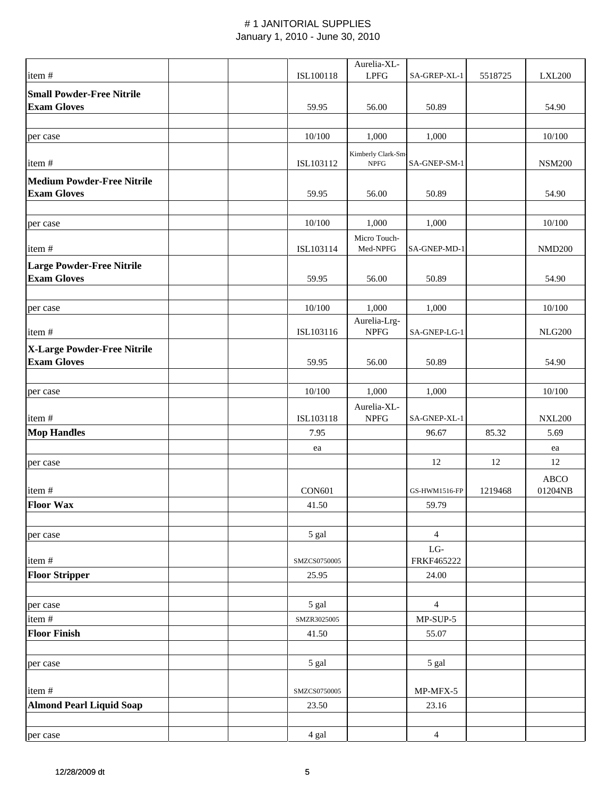|                                   |               | Aurelia-XL-        |                   |         |                 |
|-----------------------------------|---------------|--------------------|-------------------|---------|-----------------|
| item#                             | ISL100118     | <b>LPFG</b>        | SA-GREP-XL-1      | 5518725 | <b>LXL200</b>   |
| <b>Small Powder-Free Nitrile</b>  |               |                    |                   |         |                 |
| <b>Exam Gloves</b>                | 59.95         | 56.00              | 50.89             |         | 54.90           |
|                                   |               |                    |                   |         |                 |
| per case                          | 10/100        | 1,000              | 1,000             |         | 10/100          |
|                                   |               | Kimberly Clark-Sm- |                   |         |                 |
| item#                             | ISL103112     | <b>NPFG</b>        | SA-GNEP-SM-1      |         | <b>NSM200</b>   |
| <b>Medium Powder-Free Nitrile</b> |               |                    |                   |         |                 |
| <b>Exam Gloves</b>                | 59.95         | 56.00              | 50.89             |         | 54.90           |
|                                   |               |                    |                   |         |                 |
| per case                          | 10/100        | 1,000              | 1,000             |         | 10/100          |
|                                   |               | Micro Touch-       |                   |         |                 |
| item#                             | ISL103114     | Med-NPFG           | SA-GNEP-MD-1      |         | <b>NMD200</b>   |
| <b>Large Powder-Free Nitrile</b>  |               |                    |                   |         |                 |
| <b>Exam Gloves</b>                | 59.95         | 56.00              | 50.89             |         | 54.90           |
|                                   |               |                    |                   |         |                 |
| per case                          | 10/100        | 1,000              | 1,000             |         | 10/100          |
|                                   |               | Aurelia-Lrg-       |                   |         |                 |
| item#                             | ISL103116     | <b>NPFG</b>        | SA-GNEP-LG-1      |         | <b>NLG200</b>   |
| X-Large Powder-Free Nitrile       |               |                    |                   |         |                 |
| <b>Exam Gloves</b>                | 59.95         | 56.00              | 50.89             |         | 54.90           |
|                                   |               |                    |                   |         |                 |
| per case                          | 10/100        | 1,000              | 1,000             |         | 10/100          |
|                                   |               | Aurelia-XL-        |                   |         |                 |
| item#                             | ISL103118     | <b>NPFG</b>        | SA-GNEP-XL-1      |         | <b>NXL200</b>   |
| <b>Mop Handles</b>                | 7.95          |                    | 96.67             | 85.32   | 5.69            |
|                                   | ea            |                    |                   |         | ea              |
| per case                          |               |                    | 12                | 12      | 12              |
|                                   |               |                    |                   |         |                 |
| item#                             | <b>CON601</b> |                    | GS-HWM1516-FP     | 1219468 | ABCO<br>01204NB |
| <b>Floor Wax</b>                  | 41.50         |                    | 59.79             |         |                 |
|                                   |               |                    |                   |         |                 |
|                                   |               |                    |                   |         |                 |
| per case                          | 5 gal         |                    | $\overline{4}$    |         |                 |
| item#                             | SMZCS0750005  |                    | LG-<br>FRKF465222 |         |                 |
| <b>Floor Stripper</b>             | 25.95         |                    | 24.00             |         |                 |
|                                   |               |                    |                   |         |                 |
|                                   |               |                    | $\overline{4}$    |         |                 |
| per case                          | 5 gal         |                    |                   |         |                 |
| item#                             | SMZR3025005   |                    | $MP-SUP-5$        |         |                 |
| <b>Floor Finish</b>               | 41.50         |                    | 55.07             |         |                 |
|                                   |               |                    |                   |         |                 |
| per case                          | 5 gal         |                    | 5 gal             |         |                 |
|                                   |               |                    |                   |         |                 |
| item#                             | SMZCS0750005  |                    | MP-MFX-5          |         |                 |
| <b>Almond Pearl Liquid Soap</b>   | 23.50         |                    | 23.16             |         |                 |
|                                   |               |                    |                   |         |                 |
| per case                          | 4 gal         |                    | $\overline{4}$    |         |                 |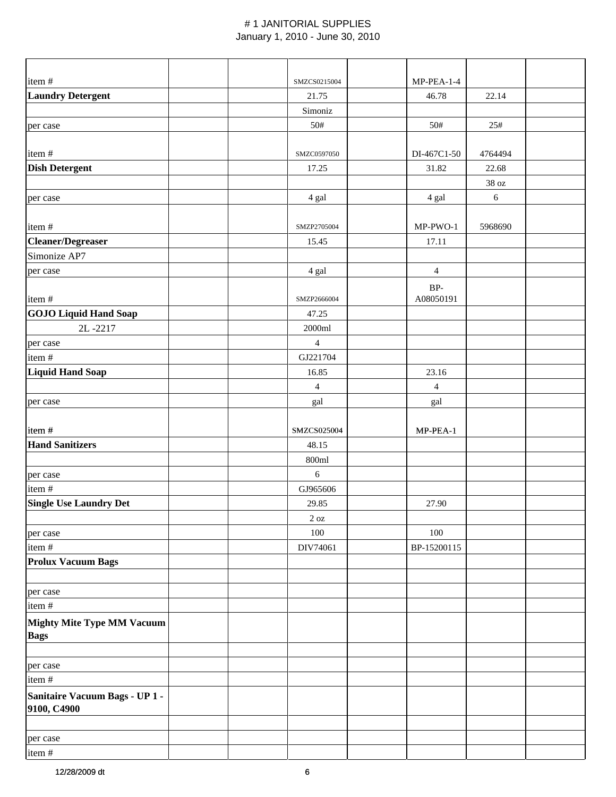| item#                                            | SMZCS0215004     | MP-PEA-1-4     |            |  |
|--------------------------------------------------|------------------|----------------|------------|--|
| <b>Laundry Detergent</b>                         | 21.75            | 46.78          | 22.14      |  |
|                                                  | Simoniz          |                |            |  |
| per case                                         | 50#              | 50#            | 25#        |  |
|                                                  |                  |                |            |  |
| item#                                            | SMZC0597050      | DI-467C1-50    | 4764494    |  |
| <b>Dish Detergent</b>                            | 17.25            | 31.82          | 22.68      |  |
|                                                  |                  |                | 38 oz      |  |
| per case                                         | 4 gal            | 4 gal          | $\sqrt{6}$ |  |
|                                                  |                  |                |            |  |
| item#                                            | SMZP2705004      | MP-PWO-1       | 5968690    |  |
| <b>Cleaner/Degreaser</b>                         | 15.45            | 17.11          |            |  |
| Simonize AP7                                     |                  |                |            |  |
| per case                                         | 4 gal            | $\overline{4}$ |            |  |
|                                                  |                  | $BP-$          |            |  |
| item#                                            | SMZP2666004      | A08050191      |            |  |
| <b>GOJO Liquid Hand Soap</b>                     | 47.25            |                |            |  |
| 2L-2217                                          | 2000ml           |                |            |  |
| per case                                         | $\overline{4}$   |                |            |  |
| item #                                           | GJ221704         |                |            |  |
| <b>Liquid Hand Soap</b>                          | 16.85            | 23.16          |            |  |
|                                                  | $\overline{4}$   | $\overline{4}$ |            |  |
| per case                                         | gal              | gal            |            |  |
|                                                  |                  |                |            |  |
| item#                                            | SMZCS025004      | MP-PEA-1       |            |  |
| <b>Hand Sanitizers</b>                           | 48.15            |                |            |  |
|                                                  | 800ml            |                |            |  |
| per case                                         | 6                |                |            |  |
| item #                                           | GJ965606         |                |            |  |
| <b>Single Use Laundry Det</b>                    | 29.85            | 27.90          |            |  |
|                                                  | $2\ \mathrm{oz}$ |                |            |  |
| per case                                         | $100\,$          | 100            |            |  |
| item #                                           | DIV74061         | BP-15200115    |            |  |
| <b>Prolux Vacuum Bags</b>                        |                  |                |            |  |
|                                                  |                  |                |            |  |
| per case                                         |                  |                |            |  |
| item#                                            |                  |                |            |  |
| <b>Mighty Mite Type MM Vacuum</b><br><b>Bags</b> |                  |                |            |  |
|                                                  |                  |                |            |  |
| per case                                         |                  |                |            |  |
| item#                                            |                  |                |            |  |
| Sanitaire Vacuum Bags - UP 1 -<br>9100, C4900    |                  |                |            |  |
|                                                  |                  |                |            |  |
| per case                                         |                  |                |            |  |
| item#                                            |                  |                |            |  |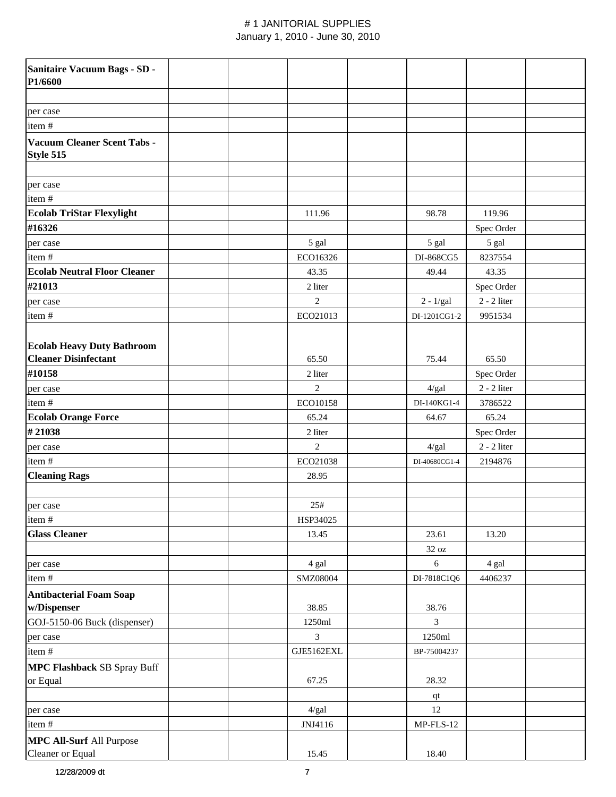| Sanitaire Vacuum Bags - SD -<br>P1/6600         |                |                |               |  |
|-------------------------------------------------|----------------|----------------|---------------|--|
|                                                 |                |                |               |  |
| per case                                        |                |                |               |  |
| item#                                           |                |                |               |  |
| <b>Vacuum Cleaner Scent Tabs -</b><br>Style 515 |                |                |               |  |
| per case                                        |                |                |               |  |
| item#                                           |                |                |               |  |
| <b>Ecolab TriStar Flexylight</b>                | 111.96         | 98.78          | 119.96        |  |
| #16326                                          |                |                | Spec Order    |  |
| per case                                        | 5 gal          | 5 gal          | 5 gal         |  |
| item#                                           | ECO16326       | DI-868CG5      | 8237554       |  |
| <b>Ecolab Neutral Floor Cleaner</b>             | 43.35          | 49.44          | 43.35         |  |
| #21013                                          | 2 liter        |                | Spec Order    |  |
| per case                                        | $\mathbf{2}$   | $2 - 1/gal$    | $2 - 2$ liter |  |
| item#                                           | ECO21013       | DI-1201CG1-2   | 9951534       |  |
| <b>Ecolab Heavy Duty Bathroom</b>               |                |                |               |  |
| <b>Cleaner Disinfectant</b>                     | 65.50          | 75.44          | 65.50         |  |
| #10158                                          | 2 liter        |                | Spec Order    |  |
| per case                                        | 2              | 4/gal          | $2 - 2$ liter |  |
| item#                                           | ECO10158       | DI-140KG1-4    | 3786522       |  |
| <b>Ecolab Orange Force</b>                      | 65.24          | 64.67          | 65.24         |  |
| #21038                                          | 2 liter        |                | Spec Order    |  |
| per case                                        | $\overline{2}$ | 4/gal          | $2 - 2$ liter |  |
| item#                                           | ECO21038       | DI-40680CG1-4  | 2194876       |  |
| <b>Cleaning Rags</b>                            | 28.95          |                |               |  |
|                                                 |                |                |               |  |
| per case                                        | 25#            |                |               |  |
| item#                                           | HSP34025       |                |               |  |
| <b>Glass Cleaner</b>                            | 13.45          | 23.61          | 13.20         |  |
|                                                 |                | 32 oz          |               |  |
| per case                                        | 4 gal          | 6              | 4 gal         |  |
| item#                                           | SMZ08004       | DI-7818C1Q6    | 4406237       |  |
| <b>Antibacterial Foam Soap</b>                  |                |                |               |  |
| w/Dispenser                                     | 38.85          | 38.76          |               |  |
| GOJ-5150-06 Buck (dispenser)                    | 1250ml         | $\overline{3}$ |               |  |
| per case                                        | 3              | 1250ml         |               |  |
| item#                                           | GJE5162EXL     | BP-75004237    |               |  |
| <b>MPC Flashback SB Spray Buff</b>              |                |                |               |  |
| or Equal                                        | 67.25          | 28.32          |               |  |
|                                                 |                | qt             |               |  |
| per case                                        | 4/gal          | 12             |               |  |
| item#                                           | JNJ4116        | $MP$ -FLS-12   |               |  |
| <b>MPC All-Surf All Purpose</b>                 |                |                |               |  |
| Cleaner or Equal                                | 15.45          | 18.40          |               |  |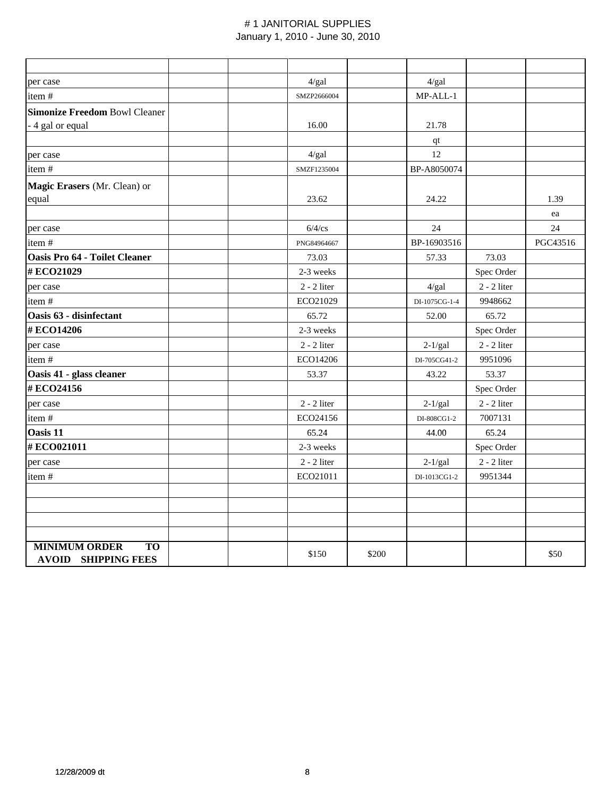| per case                             | 4/gal         |       | 4/gal         |               |          |
|--------------------------------------|---------------|-------|---------------|---------------|----------|
| item#                                | SMZP2666004   |       | MP-ALL-1      |               |          |
| <b>Simonize Freedom Bowl Cleaner</b> |               |       |               |               |          |
| - 4 gal or equal                     | 16.00         |       | 21.78         |               |          |
|                                      |               |       | qt            |               |          |
| per case                             | 4/gal         |       | 12            |               |          |
| item#                                | SMZF1235004   |       | BP-A8050074   |               |          |
| Magic Erasers (Mr. Clean) or         |               |       |               |               |          |
| equal                                | 23.62         |       | 24.22         |               | 1.39     |
|                                      |               |       |               |               | ea       |
| per case                             | $6/4$ /cs     |       | 24            |               | 24       |
| item#                                | PNG84964667   |       | BP-16903516   |               | PGC43516 |
| <b>Oasis Pro 64 - Toilet Cleaner</b> | 73.03         |       | 57.33         | 73.03         |          |
| #ECO21029                            | 2-3 weeks     |       |               | Spec Order    |          |
| per case                             | $2 - 2$ liter |       | 4/gal         | $2 - 2$ liter |          |
| item#                                | ECO21029      |       | DI-1075CG-1-4 | 9948662       |          |
| Oasis 63 - disinfectant              | 65.72         |       | 52.00         | 65.72         |          |
| #ECO14206                            | 2-3 weeks     |       |               | Spec Order    |          |
| per case                             | $2 - 2$ liter |       | $2-1/gal$     | $2 - 2$ liter |          |
| item#                                | ECO14206      |       | DI-705CG41-2  | 9951096       |          |
| Oasis 41 - glass cleaner             | 53.37         |       | 43.22         | 53.37         |          |
| #ECO24156                            |               |       |               | Spec Order    |          |
| per case                             | $2 - 2$ liter |       | $2-1/gal$     | $2 - 2$ liter |          |
| item#                                | ECO24156      |       | DI-808CG1-2   | 7007131       |          |
| Oasis 11                             | 65.24         |       | 44.00         | 65.24         |          |
| #ECO021011                           | 2-3 weeks     |       |               | Spec Order    |          |
| per case                             | $2 - 2$ liter |       | $2-1/gal$     | $2 - 2$ liter |          |
| item#                                | ECO21011      |       | DI-1013CG1-2  | 9951344       |          |
|                                      |               |       |               |               |          |
|                                      |               |       |               |               |          |
|                                      |               |       |               |               |          |
|                                      |               |       |               |               |          |
| <b>MINIMUM ORDER</b><br><b>TO</b>    | \$150         | \$200 |               |               | \$50     |
| <b>AVOID SHIPPING FEES</b>           |               |       |               |               |          |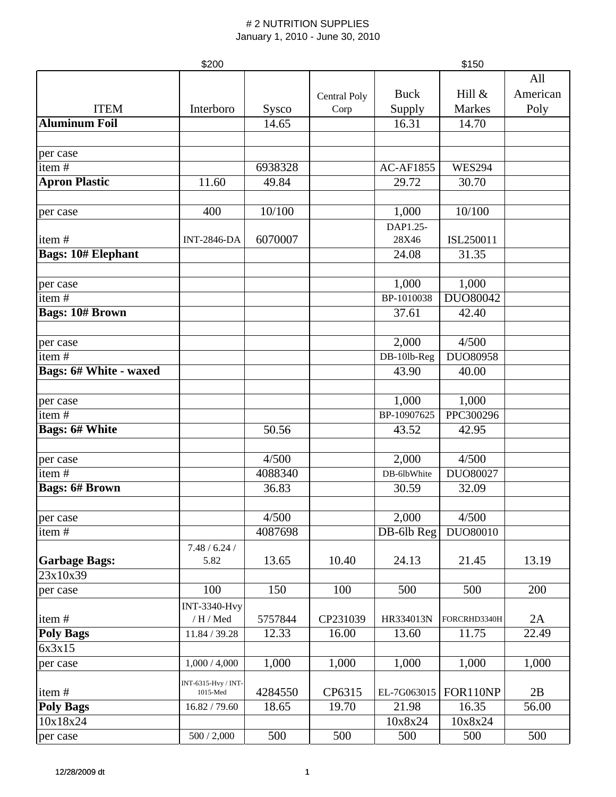|                               | \$150               |         |              |                  |               |          |
|-------------------------------|---------------------|---------|--------------|------------------|---------------|----------|
|                               |                     |         |              |                  |               | All      |
|                               |                     |         | Central Poly | <b>Buck</b>      | Hill &        | American |
| <b>ITEM</b>                   | Interboro           | Sysco   | Corp         | Supply           | Markes        | Poly     |
| <b>Aluminum Foil</b>          |                     | 14.65   |              | 16.31            | 14.70         |          |
|                               |                     |         |              |                  |               |          |
| per case                      |                     |         |              |                  |               |          |
| item $\frac{1}{t}$            |                     | 6938328 |              | <b>AC-AF1855</b> | <b>WES294</b> |          |
| <b>Apron Plastic</b>          | 11.60               | 49.84   |              | 29.72            | 30.70         |          |
|                               |                     |         |              |                  |               |          |
| per case                      | 400                 | 10/100  |              | 1,000            | 10/100        |          |
|                               |                     |         |              | DAP1.25-         |               |          |
| item#                         | <b>INT-2846-DA</b>  | 6070007 |              | 28X46            | ISL250011     |          |
| <b>Bags: 10# Elephant</b>     |                     |         |              | 24.08            | 31.35         |          |
|                               |                     |         |              |                  |               |          |
| per case                      |                     |         |              | 1,000            | 1,000         |          |
| item#                         |                     |         |              | BP-1010038       | DUO80042      |          |
| <b>Bags: 10# Brown</b>        |                     |         |              | 37.61            | 42.40         |          |
|                               |                     |         |              |                  |               |          |
| per case                      |                     |         |              | 2,000            | 4/500         |          |
| item#                         |                     |         |              | DB-10lb-Reg      | DUO80958      |          |
| <b>Bags: 6# White - waxed</b> |                     |         |              | 43.90            | 40.00         |          |
|                               |                     |         |              |                  |               |          |
| per case                      |                     |         |              | 1,000            | 1,000         |          |
| item#                         |                     |         |              | BP-10907625      | PPC300296     |          |
| <b>Bags: 6# White</b>         |                     | 50.56   |              | 43.52            | 42.95         |          |
|                               |                     |         |              |                  |               |          |
| per case                      |                     | 4/500   |              | 2,000            | 4/500         |          |
| item#                         |                     | 4088340 |              | DB-6lbWhite      | DUO80027      |          |
| <b>Bags: 6# Brown</b>         |                     | 36.83   |              | 30.59            | 32.09         |          |
|                               |                     |         |              |                  |               |          |
| per case                      |                     | 4/500   |              | 2,000            | 4/500         |          |
| item#                         |                     | 4087698 |              | DB-6lb Reg       | DUO80010      |          |
|                               | 7.48 / 6.24 /       |         |              |                  |               |          |
| <b>Garbage Bags:</b>          | 5.82                | 13.65   | 10.40        | 24.13            | 21.45         | 13.19    |
| 23x10x39                      |                     |         |              |                  |               |          |
| per case                      | 100                 | 150     | 100          | 500              | 500           | 200      |
|                               | <b>INT-3340-Hvy</b> |         |              |                  |               |          |
| item#                         | / H / Med           | 5757844 | CP231039     | HR334013N        | FORCRHD3340H  | 2A       |
| <b>Poly Bags</b>              | 11.84 / 39.28       | 12.33   | 16.00        | 13.60            | 11.75         | 22.49    |
| 6x3x15                        |                     |         |              |                  |               |          |
| per case                      | 1,000 / 4,000       | 1,000   | 1,000        | 1,000            | 1,000         | 1,000    |
|                               | INT-6315-Hvy / INT- |         |              |                  |               |          |
| item#                         | $1015$ -Med         | 4284550 | CP6315       | EL-7G063015      | FOR110NP      | 2B       |
| <b>Poly Bags</b>              | 16.82 / 79.60       | 18.65   | 19.70        | 21.98            | 16.35         | 56.00    |
| 10x18x24                      |                     |         |              | 10x8x24          | 10x8x24       |          |
| per case                      | 500 / 2,000         | 500     | 500          | 500              | 500           | 500      |
|                               |                     |         |              |                  |               |          |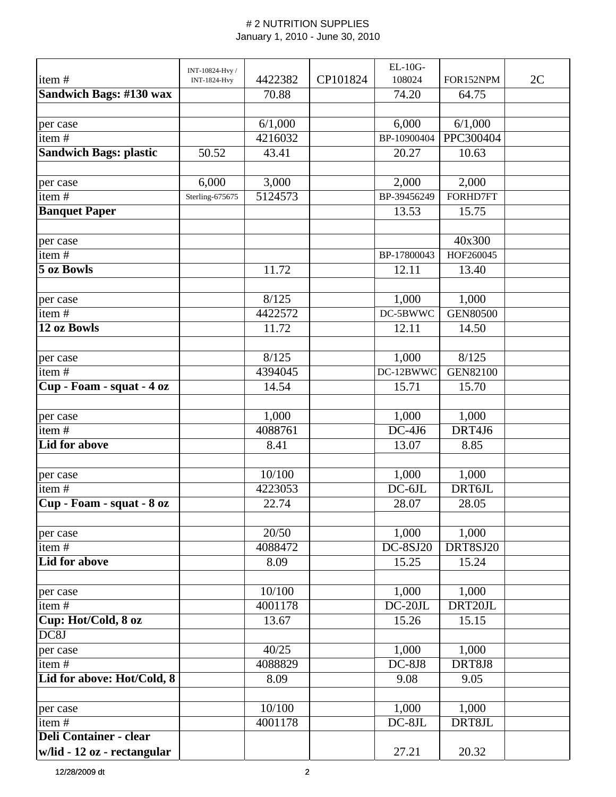|                               | INT-10824-Hvy /     |         |          | $EL-10G-$           |                 |    |
|-------------------------------|---------------------|---------|----------|---------------------|-----------------|----|
| item#                         | <b>INT-1824-Hvy</b> | 4422382 | CP101824 | 108024              | FOR152NPM       | 2C |
| Sandwich Bags: #130 wax       |                     | 70.88   |          | 74.20               | 64.75           |    |
|                               |                     |         |          |                     |                 |    |
| per case                      |                     | 6/1,000 |          | 6,000               | 6/1,000         |    |
| item#                         |                     | 4216032 |          | BP-10900404         | PPC300404       |    |
| <b>Sandwich Bags: plastic</b> | 50.52               | 43.41   |          | 20.27               | 10.63           |    |
| per case                      | 6,000               | 3,000   |          | 2,000               | 2,000           |    |
| item#                         | Sterling-675675     | 5124573 |          | BP-39456249         | FORHD7FT        |    |
| <b>Banquet Paper</b>          |                     |         |          | 13.53               | 15.75           |    |
|                               |                     |         |          |                     |                 |    |
| per case                      |                     |         |          |                     | 40x300          |    |
| item#                         |                     |         |          | BP-17800043         | HOF260045       |    |
| 5 oz Bowls                    |                     | 11.72   |          | 12.11               | 13.40           |    |
| per case                      |                     | 8/125   |          | 1,000               | 1,000           |    |
| item#                         |                     | 4422572 |          | DC-5BWWC            | <b>GEN80500</b> |    |
| 12 oz Bowls                   |                     | 11.72   |          | 12.11               | 14.50           |    |
|                               |                     |         |          |                     |                 |    |
| per case                      |                     | 8/125   |          | 1,000               | 8/125           |    |
| item $\frac{1}{4}$            |                     | 4394045 |          | DC-12BWWC           | <b>GEN82100</b> |    |
| Cup - Foam - squat - 4 oz     |                     | 14.54   |          | 15.71               | 15.70           |    |
|                               |                     |         |          |                     |                 |    |
| per case                      |                     | 1,000   |          | 1,000               | 1,000           |    |
| item#                         |                     | 4088761 |          | $\overline{DC-4J6}$ | DRT4J6          |    |
| Lid for above                 |                     | 8.41    |          | 13.07               | 8.85            |    |
| per case                      |                     | 10/100  |          | 1,000               | 1,000           |    |
| item#                         |                     | 4223053 |          | $DC-6JL$            | DRT6JL          |    |
| Cup - Foam - squat - 8 oz     |                     | 22.74   |          | 28.07               | 28.05           |    |
|                               |                     |         |          |                     |                 |    |
| per case                      |                     | 20/50   |          | 1,000               | 1,000           |    |
| item#                         |                     | 4088472 |          | <b>DC-8SJ20</b>     | DRT8SJ20        |    |
| <b>Lid for above</b>          |                     | 8.09    |          | 15.25               | 15.24           |    |
| per case                      |                     | 10/100  |          | 1,000               | 1,000           |    |
| item#                         |                     | 4001178 |          | $DC-20JL$           | DRT20JL         |    |
| Cup: Hot/Cold, 8 oz           |                     | 13.67   |          | 15.26               | 15.15           |    |
| DC8J                          |                     |         |          |                     |                 |    |
| per case                      |                     | 40/25   |          | 1,000               | 1,000           |    |
| item#                         |                     | 4088829 |          | $DC-8J8$            | DRT8J8          |    |
| Lid for above: Hot/Cold, 8    |                     | 8.09    |          | 9.08                | 9.05            |    |
|                               |                     |         |          |                     |                 |    |
| per case                      |                     | 10/100  |          | 1,000               | 1,000           |    |
| item#                         |                     | 4001178 |          | DC-8JL              | DRT8JL          |    |
| <b>Deli Container - clear</b> |                     |         |          |                     |                 |    |
| w/lid - 12 oz - rectangular   |                     |         |          | 27.21               | 20.32           |    |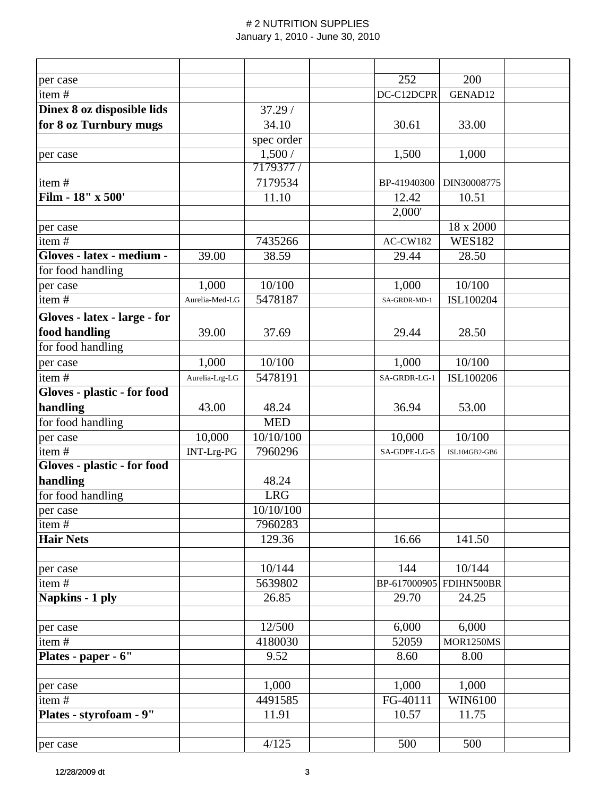| per case                     |                |            | 252             | 200              |  |
|------------------------------|----------------|------------|-----------------|------------------|--|
| item#                        |                |            | DC-C12DCPR      | GENAD12          |  |
| Dinex 8 oz disposible lids   |                | 37.29/     |                 |                  |  |
| for 8 oz Turnbury mugs       |                | 34.10      | 30.61           | 33.00            |  |
|                              |                | spec order |                 |                  |  |
| per case                     |                | 1,500/     | 1,500           | 1,000            |  |
|                              |                | 7179377 /  |                 |                  |  |
| item#                        |                | 7179534    | BP-41940300     | DIN30008775      |  |
| Film - 18" x 500'            |                | 11.10      | 12.42           | 10.51            |  |
|                              |                |            | 2,000'          |                  |  |
| per case                     |                |            |                 | 18 x 2000        |  |
| item#                        |                | 7435266    | <b>AC-CW182</b> | <b>WES182</b>    |  |
| Gloves - latex - medium -    | 39.00          | 38.59      | 29.44           | 28.50            |  |
| for food handling            |                |            |                 |                  |  |
| per case                     | 1,000          | 10/100     | 1,000           | 10/100           |  |
| item#                        | Aurelia-Med-LG | 5478187    | SA-GRDR-MD-1    | ISL100204        |  |
| Gloves - latex - large - for |                |            |                 |                  |  |
| food handling                | 39.00          | 37.69      | 29.44           | 28.50            |  |
| for food handling            |                |            |                 |                  |  |
| per case                     | 1,000          | 10/100     | 1,000           | 10/100           |  |
| item#                        | Aurelia-Lrg-LG | 5478191    | SA-GRDR-LG-1    | ISL100206        |  |
| Gloves - plastic - for food  |                |            |                 |                  |  |
| handling                     | 43.00          | 48.24      | 36.94           | 53.00            |  |
| for food handling            |                | <b>MED</b> |                 |                  |  |
| per case                     | 10,000         | 10/10/100  | 10,000          | 10/100           |  |
| item#                        | INT-Lrg-PG     | 7960296    | SA-GDPE-LG-5    | ISL104GB2-GB6    |  |
| Gloves - plastic - for food  |                |            |                 |                  |  |
| handling                     |                | 48.24      |                 |                  |  |
| for food handling            |                | <b>LRG</b> |                 |                  |  |
| per case                     |                | 10/10/100  |                 |                  |  |
| item#                        |                | 7960283    |                 |                  |  |
| <b>Hair Nets</b>             |                | 129.36     | 16.66           | 141.50           |  |
| per case                     |                | 10/144     | 144             | 10/144           |  |
| item#                        |                | 5639802    | BP-617000905    | FDIHN500BR       |  |
| Napkins - 1 ply              |                | 26.85      | 29.70           | 24.25            |  |
| per case                     |                | 12/500     | 6,000           | 6,000            |  |
| item#                        |                | 4180030    | 52059           | <b>MOR1250MS</b> |  |
| Plates - paper - 6"          |                | 9.52       | 8.60            | 8.00             |  |
|                              |                |            |                 |                  |  |
| per case                     |                | 1,000      | 1,000           | 1,000            |  |
| item#                        |                | 4491585    | FG-40111        | WIN6100          |  |
| Plates - styrofoam - 9"      |                | 11.91      | 10.57           | 11.75            |  |
|                              |                |            |                 |                  |  |
| per case                     |                | 4/125      | 500             | 500              |  |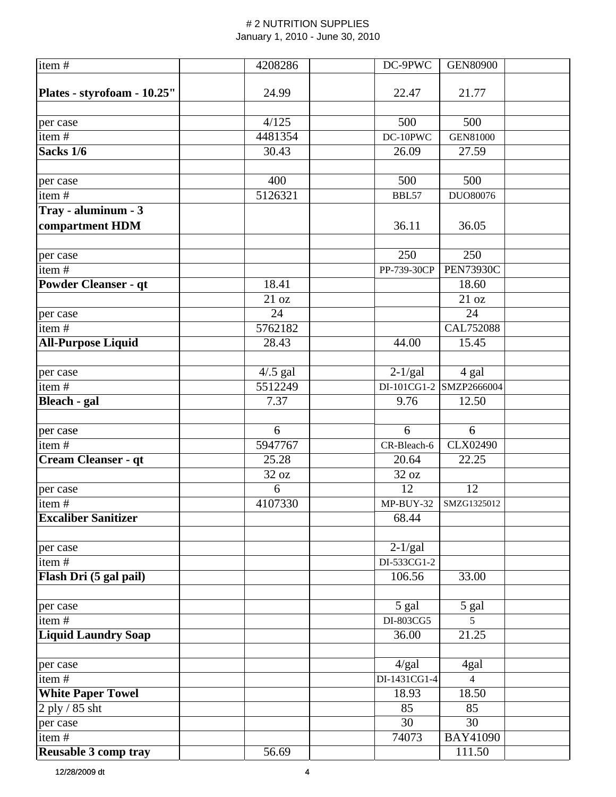| $\overline{\text{item}}$ #  | 4208286     | DC-9PWC      | <b>GEN80900</b>  |  |
|-----------------------------|-------------|--------------|------------------|--|
|                             |             |              |                  |  |
| Plates - styrofoam - 10.25" | 24.99       | 22.47        | 21.77            |  |
|                             |             |              |                  |  |
| per case                    | 4/125       | 500          | 500              |  |
| item#                       | 4481354     | DC-10PWC     | <b>GEN81000</b>  |  |
| Sacks 1/6                   | 30.43       | 26.09        | 27.59            |  |
|                             |             |              |                  |  |
| per case                    | 400         | 500          | 500              |  |
| item#                       | 5126321     | BBL57        | DUO80076         |  |
| Tray - aluminum - 3         |             |              |                  |  |
| compartment HDM             |             | 36.11        | 36.05            |  |
|                             |             |              |                  |  |
| per case                    |             | 250          | 250              |  |
| item#                       |             | PP-739-30CP  | <b>PEN73930C</b> |  |
| <b>Powder Cleanser - qt</b> | 18.41       |              | 18.60            |  |
|                             | 21 oz       |              | 21 oz            |  |
| per case                    | 24          |              | 24               |  |
| item#                       | 5762182     |              | CAL752088        |  |
| <b>All-Purpose Liquid</b>   | 28.43       | 44.00        | 15.45            |  |
|                             |             |              |                  |  |
| per case                    | $4/0.5$ gal | $2-1/gal$    | 4 gal            |  |
| item#                       | 5512249     | DI-101CG1-2  | SMZP2666004      |  |
| <b>Bleach - gal</b>         | 7.37        | 9.76         | 12.50            |  |
|                             |             |              |                  |  |
| per case                    | 6           | 6            | 6                |  |
| item#                       | 5947767     | CR-Bleach-6  | CLX02490         |  |
| Cream Cleanser - qt         | 25.28       | 20.64        | 22.25            |  |
|                             | 32 oz       | 32 oz        |                  |  |
| per case                    | 6           | 12           | 12               |  |
| item#                       | 4107330     | $MP-BUY-32$  | SMZG1325012      |  |
| <b>Excaliber Sanitizer</b>  |             | 68.44        |                  |  |
|                             |             |              |                  |  |
| per case                    |             | $2-1/gal$    |                  |  |
| item#                       |             | DI-533CG1-2  |                  |  |
| Flash Dri (5 gal pail)      |             | 106.56       | 33.00            |  |
|                             |             |              |                  |  |
| per case                    |             | 5 gal        | 5 gal            |  |
| item#                       |             | DI-803CG5    | 5                |  |
| <b>Liquid Laundry Soap</b>  |             | 36.00        | 21.25            |  |
|                             |             |              |                  |  |
| per case                    |             | 4/gal        | 4gal             |  |
| item#                       |             | DI-1431CG1-4 | $\overline{4}$   |  |
| <b>White Paper Towel</b>    |             | 18.93        | 18.50            |  |
| $2$ ply / 85 sht            |             | 85           | 85               |  |
| per case                    |             | 30           | 30               |  |
| item#                       |             | 74073        | <b>BAY41090</b>  |  |
| <b>Reusable 3 comp tray</b> | 56.69       |              | 111.50           |  |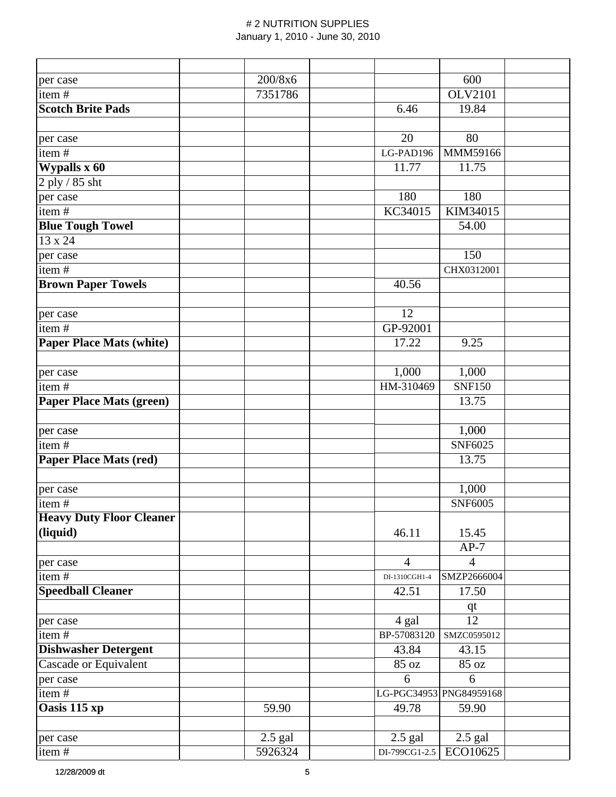| per case                        | 200/8x6   |                | 600                     |  |
|---------------------------------|-----------|----------------|-------------------------|--|
| item#                           | 7351786   |                | <b>OLV2101</b>          |  |
| <b>Scotch Brite Pads</b>        |           | 6.46           | 19.84                   |  |
|                                 |           |                |                         |  |
| per case                        |           | 20             | 80                      |  |
| item#                           |           | LG-PAD196      | MMM59166                |  |
| Wypalls x 60                    |           | 11.77          | 11.75                   |  |
| 2 ply / 85 sht                  |           |                |                         |  |
| per case                        |           | 180            | 180                     |  |
| item#                           |           | KC34015        | KIM34015                |  |
| <b>Blue Tough Towel</b>         |           |                | 54.00                   |  |
| 13 x 24                         |           |                |                         |  |
| per case                        |           |                | 150                     |  |
| item#                           |           |                | CHX0312001              |  |
| <b>Brown Paper Towels</b>       |           | 40.56          |                         |  |
|                                 |           |                |                         |  |
| per case                        |           | 12             |                         |  |
| item#                           |           | GP-92001       |                         |  |
| <b>Paper Place Mats (white)</b> |           | 17.22          | 9.25                    |  |
|                                 |           |                |                         |  |
| per case                        |           | 1,000          | 1,000                   |  |
| item#                           |           | HM-310469      | <b>SNF150</b>           |  |
| <b>Paper Place Mats (green)</b> |           |                | 13.75                   |  |
|                                 |           |                |                         |  |
| per case                        |           |                | 1,000                   |  |
| $\overline{\text{item}}$ #      |           |                | SNF6025                 |  |
| <b>Paper Place Mats (red)</b>   |           |                | 13.75                   |  |
|                                 |           |                |                         |  |
| per case                        |           |                | 1,000                   |  |
| item#                           |           |                | <b>SNF6005</b>          |  |
| <b>Heavy Duty Floor Cleaner</b> |           |                |                         |  |
| (liquid)                        |           | 46.11          | 15.45                   |  |
|                                 |           |                | $AP-7$                  |  |
| per case                        |           | $\overline{4}$ | $\overline{4}$          |  |
| item#                           |           | DI-1310CGH1-4  | SMZP2666004             |  |
| <b>Speedball Cleaner</b>        |           | 42.51          | 17.50                   |  |
|                                 |           |                | qt                      |  |
| per case                        |           | 4 gal          | $\overline{12}$         |  |
| item#                           |           | BP-57083120    | SMZC0595012             |  |
| <b>Dishwasher Detergent</b>     |           | 43.84          | 43.15                   |  |
| Cascade or Equivalent           |           | 85 oz          | 85 oz                   |  |
| per case                        |           | 6              | 6                       |  |
| item#                           |           |                | LG-PGC34953 PNG84959168 |  |
| Oasis 115 xp                    | 59.90     | 49.78          | 59.90                   |  |
|                                 |           |                |                         |  |
| per case                        | $2.5$ gal | $2.5$ gal      | $2.5$ gal               |  |
| item#                           | 5926324   | DI-799CG1-2.5  | ECO10625                |  |